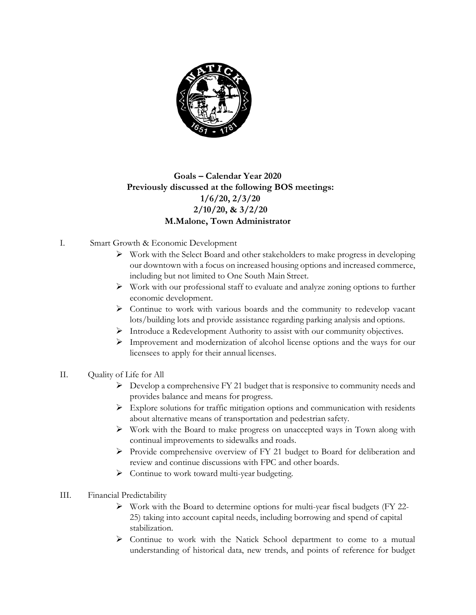

## **Goals – Calendar Year 2020 Previously discussed at the following BOS meetings: 1/6/20, 2/3/20 2/10/20, & 3/2/20 M.Malone, Town Administrator**

- I. Smart Growth & Economic Development
	- $\triangleright$  Work with the Select Board and other stakeholders to make progress in developing our downtown with a focus on increased housing options and increased commerce, including but not limited to One South Main Street.
	- $\triangleright$  Work with our professional staff to evaluate and analyze zoning options to further economic development.
	- $\triangleright$  Continue to work with various boards and the community to redevelop vacant lots/building lots and provide assistance regarding parking analysis and options.
	- Introduce a Redevelopment Authority to assist with our community objectives.
	- $\triangleright$  Improvement and modernization of alcohol license options and the ways for our licensees to apply for their annual licenses.
- II. Quality of Life for All
	- $\triangleright$  Develop a comprehensive FY 21 budget that is responsive to community needs and provides balance and means for progress.
	- $\triangleright$  Explore solutions for traffic mitigation options and communication with residents about alternative means of transportation and pedestrian safety.
	- $\triangleright$  Work with the Board to make progress on unaccepted ways in Town along with continual improvements to sidewalks and roads.
	- $\triangleright$  Provide comprehensive overview of FY 21 budget to Board for deliberation and review and continue discussions with FPC and other boards.
	- > Continue to work toward multi-year budgeting.
- III. Financial Predictability
	- $\triangleright$  Work with the Board to determine options for multi-year fiscal budgets (FY 22-25) taking into account capital needs, including borrowing and spend of capital stabilization.
	- $\triangleright$  Continue to work with the Natick School department to come to a mutual understanding of historical data, new trends, and points of reference for budget